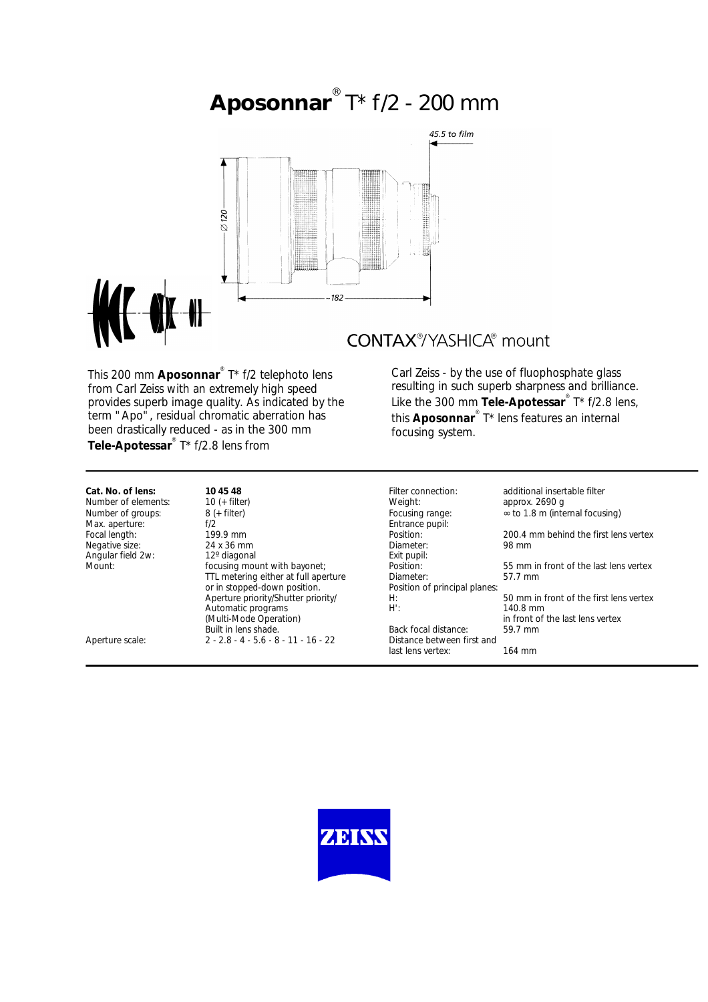# **Aposonnar** ® T\* f/2 - 200 mm



This 200 mm **Aposonnar**® T\* f/2 telephoto lens from Carl Zeiss with an extremely high speed provides superb image quality. As indicated by the term "Apo", residual chromatic aberration has been drastically reduced - as in the 300 mm **Tele-Apotessar**® T\* f/2.8 lens from

## **CONTAX®/YASHICA®** mount

Carl Zeiss - by the use of fluophosphate glass resulting in such superb sharpness and brilliance. Like the 300 mm **Tele-Apotessar**® T\* f/2.8 lens, this **Aposonnar**® T\* lens features an internal focusing system.

**Cat. No. of lens: 10 45 48** Filter connection: additional insertable filter Number of elements: 10 (+ filter) Weight: Weight: Weight: Number of groups: 8 (+ filter) Number of groups: 8 (+ filter) and the set of the Focusing range: ∞ to 1.8 m (internal focusing) Max. aperture: f/2 Max. aperture: f/2 f/2 Entrance pupil:<br>
Focal length: focal length: focal length: focal length: focal length: focal length: focal length: for the material of the material of the material of the material of the material of Negative size: 24 x 36 mm<br>
Angular field 2w: 29 diagonal exit pupil: 98 mm Angular field 2w: 12° diagonal exist pupils and the Exit pupils and Exit pupils and Exit pupils and Exit pupi TTL metering either at full aperture Diameter:<br>or in stopped-down position. The Position of principal planes: or in stopped-down position. Position of principal planes: example the priority/<br>Aperture priority/Shutter priority/ Automatic programs<br>(Multi-Mode Operation) Built in lens shade.<br> $2 - 28 - 4 - 56 - 8 - 11 - 16 - 22$  Distance between first and Aperture scale: 2 - 2.8 - 4 - 5.6 - 8 - 11 - 16 - 22

 $\frac{M}{M}$  in front of the last lens vertex<br>Back focal distance:  $\frac{59.7 \text{ mm}}{200 \text{ mm}}$ last lens vertex: 164 mm

Form The Position: <sup>1</sup> and the 199.9 mm position: 200.4 mm behind the first lens vertex<br>24 x 36 mm 24 mm Platter: 24 x 36 mm Position: Found mount with basis mount with basis mount with basis position: Found mount of the last lens vertex planeter:  $A:$   $B=50$  mm in front of the first lens vertex  $B:$